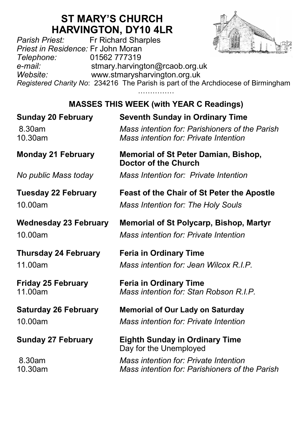# **ST MARY'S CHURCH**

**HARVINGTON, DY10 4LR**<br>Fr Richard Sharples *Parish Priest:* Fr Richard Sharples *Priest in Residence:* Fr John Moran *Telephone:* 01562 777319 *e-mail:* stmary.harvington@rcaob.org.uk *Website:* www.stmarysharvington.org.uk *Registered Charity No*: 234216 The Parish is part of the Archdiocese of Birmingham

……………

#### **MASSES THIS WEEK (with YEAR C Readings)**

| <b>Sunday 20 February</b>    | <b>Seventh Sunday in Ordinary Time</b>                                     |
|------------------------------|----------------------------------------------------------------------------|
| 8.30am                       | Mass intention for: Parishioners of the Parish                             |
| 10.30am                      | Mass intention for: Private Intention                                      |
| <b>Monday 21 February</b>    | <b>Memorial of St Peter Damian, Bishop,</b><br><b>Doctor of the Church</b> |
| No public Mass today         | Mass Intention for: Private Intention                                      |
| <b>Tuesday 22 February</b>   | <b>Feast of the Chair of St Peter the Apostle</b>                          |
| 10.00am                      | Mass Intention for: The Holy Souls                                         |
| <b>Wednesday 23 February</b> | <b>Memorial of St Polycarp, Bishop, Martyr</b>                             |
| 10.00am                      | Mass intention for: Private Intention                                      |
| <b>Thursday 24 February</b>  | <b>Feria in Ordinary Time</b>                                              |
| 11.00am                      | Mass intention for: Jean Wilcox R.I.P.                                     |
| <b>Friday 25 February</b>    | <b>Feria in Ordinary Time</b>                                              |
| 11.00am                      | Mass intention for: Stan Robson R.I.P.                                     |
| <b>Saturday 26 February</b>  | <b>Memorial of Our Lady on Saturday</b>                                    |
| 10.00am                      | Mass intention for: Private Intention                                      |
| <b>Sunday 27 February</b>    | <b>Eighth Sunday in Ordinary Time</b><br>Day for the Unemployed            |
| 8.30am                       | Mass intention for: Private Intention                                      |
| 10.30am                      | Mass intention for: Parishioners of the Parish                             |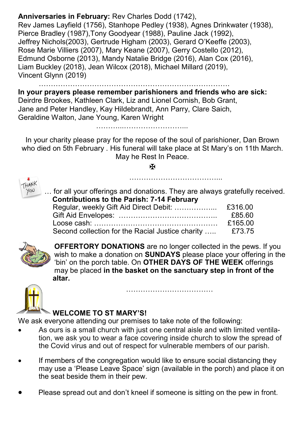#### **Anniversaries in February:** Rev Charles Dodd (1742),

Rev James Layfield (1756), Stanhope Pedley (1938), Agnes Drinkwater (1938), Pierce Bradley (1987),Tony Goodyear (1988), Pauline Jack (1992), Jeffrey Nichols(2003), Gertrude Higham (2003), Gerard O'Keeffe (2003), Rose Marie Villiers (2007), Mary Keane (2007), Gerry Costello (2012), Edmund Osborne (2013), Mandy Natalie Bridge (2016), Alan Cox (2016), Liam Buckley (2018), Jean Wilcox (2018), Michael Millard (2019), Vincent Glynn (2019)

…………………………………………………………………….

………...……………………...

**In your prayers please remember parishioners and friends who are sick:**  Deirdre Brookes, Kathleen Clark, Liz and Lionel Cornish, Bob Grant, Jane and Peter Handley, Kay Hildebrandt, Ann Parry, Clare Saich, Geraldine Walton, Jane Young, Karen Wright

In your charity please pray for the repose of the soul of parishioner, Dan Brown who died on 5th February . His funeral will take place at St Mary's on 11th March. May he Rest In Peace.

**H** 



for all your offerings and donations. They are always gratefully received.  **Contributions to the Parish: 7-14 February** Regular, weekly Gift Aid Direct Debit: …………………... £316.00 Gift Aid Envelopes: ………………………………….. £85.60 Loose cash: …………………………………………… £165.00 Second collection for the Racial Justice charity ..... £73.75

………………………………...



**OFFERTORY DONATIONS** are no longer collected in the pews. If you wish to make a donation on **SUNDAYS** please place your offering in the 'bin' on the porch table. On **OTHER DAYS OF THE WEEK** offerings may be placed **in the basket on the sanctuary step in front of the altar.** 

………………………………



#### **WELCOME TO ST MARY'S!**

We ask everyone attending our premises to take note of the following:

- As ours is a small church with just one central aisle and with limited ventilation, we ask you to wear a face covering inside church to slow the spread of the Covid virus and out of respect for vulnerable members of our parish.
- If members of the congregation would like to ensure social distancing they may use a 'Please Leave Space' sign (available in the porch) and place it on the seat beside them in their pew.
- Please spread out and don't kneel if someone is sitting on the pew in front.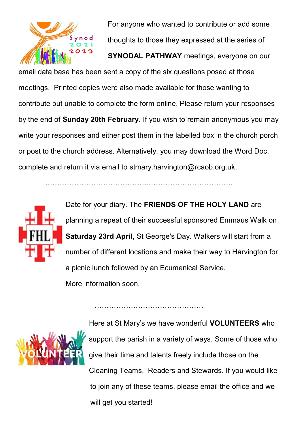

For anyone who wanted to contribute or add some thoughts to those they expressed at the series of **SYNODAL PATHWAY** meetings, everyone on our

email data base has been sent a copy of the six questions posed at those meetings. Printed copies were also made available for those wanting to contribute but unable to complete the form online. Please return your responses by the end of **Sunday 20th February.** If you wish to remain anonymous you may write your responses and either post them in the labelled box in the church porch or post to the church address. Alternatively, you may download the Word Doc, complete and return it via email to stmary.harvington@rcaob.org.uk.

……………………………………..…………………………….

…………………………………………………

Date for your diary. The **FRIENDS OF THE HOLY LAND** are planning a repeat of their successful sponsored Emmaus Walk on **Saturday 23rd April**, St George's Day. Walkers will start from a number of different locations and make their way to Harvington for a picnic lunch followed by an Ecumenical Service. More information soon.



Here at St Mary's we have wonderful **VOLUNTEERS** who support the parish in a variety of ways. Some of those who give their time and talents freely include those on the Cleaning Teams, Readers and Stewards. If you would like to join any of these teams, please email the office and we will get you started!